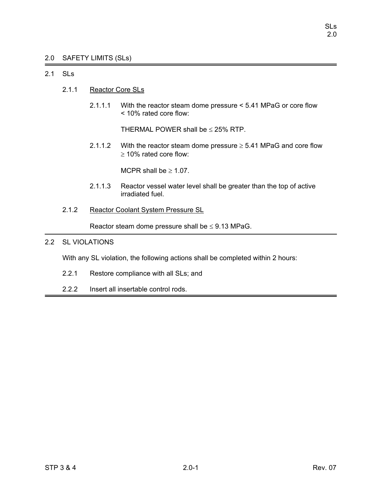# 2.0 SAFETY LIMITS (SLs)

# 2.1 SLs

- 2.1.1 Reactor Core SLs
	- 2.1.1.1 With the reactor steam dome pressure < 5.41 MPaG or core flow < 10% rated core flow:

THERMAL POWER shall be  $\leq$  25% RTP.

2.1.1.2 With the reactor steam dome pressure  $\geq$  5.41 MPaG and core flow ≥ 10% rated core flow:

MCPR shall be  $\geq 1.07$ .

- 2.1.1.3 Reactor vessel water level shall be greater than the top of active irradiated fuel.
- 2.1.2 Reactor Coolant System Pressure SL

Reactor steam dome pressure shall be  $\leq$  9.13 MPaG.

# 2.2 SL VIOLATIONS

With any SL violation, the following actions shall be completed within 2 hours:

- 2.2.1 Restore compliance with all SLs; and
- 2.2.2 Insert all insertable control rods.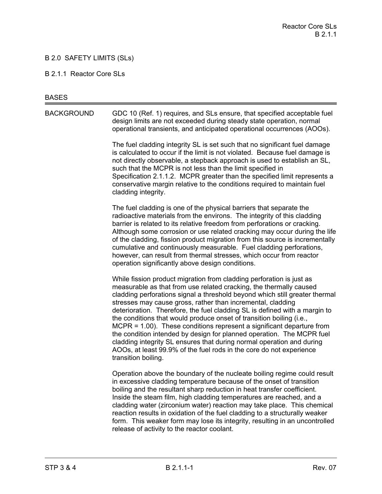# B 2.0 SAFETY LIMITS (SLs)

#### B 2.1.1 Reactor Core SLs

#### **BASES**

BACKGROUND GDC 10 (Ref. 1) requires, and SLs ensure, that specified acceptable fuel design limits are not exceeded during steady state operation, normal operational transients, and anticipated operational occurrences (AOOs).

> The fuel cladding integrity SL is set such that no significant fuel damage is calculated to occur if the limit is not violated. Because fuel damage is not directly observable, a stepback approach is used to establish an SL, such that the MCPR is not less than the limit specified in Specification 2.1.1.2. MCPR greater than the specified limit represents a conservative margin relative to the conditions required to maintain fuel cladding integrity.

The fuel cladding is one of the physical barriers that separate the radioactive materials from the environs. The integrity of this cladding barrier is related to its relative freedom from perforations or cracking. Although some corrosion or use related cracking may occur during the life of the cladding, fission product migration from this source is incrementally cumulative and continuously measurable. Fuel cladding perforations, however, can result from thermal stresses, which occur from reactor operation significantly above design conditions.

While fission product migration from cladding perforation is just as measurable as that from use related cracking, the thermally caused cladding perforations signal a threshold beyond which still greater thermal stresses may cause gross, rather than incremental, cladding deterioration. Therefore, the fuel cladding SL is defined with a margin to the conditions that would produce onset of transition boiling (i.e., MCPR = 1.00). These conditions represent a significant departure from the condition intended by design for planned operation. The MCPR fuel cladding integrity SL ensures that during normal operation and during AOOs, at least 99.9% of the fuel rods in the core do not experience transition boiling.

Operation above the boundary of the nucleate boiling regime could result in excessive cladding temperature because of the onset of transition boiling and the resultant sharp reduction in heat transfer coefficient. Inside the steam film, high cladding temperatures are reached, and a cladding water (zirconium water) reaction may take place. This chemical reaction results in oxidation of the fuel cladding to a structurally weaker form. This weaker form may lose its integrity, resulting in an uncontrolled release of activity to the reactor coolant.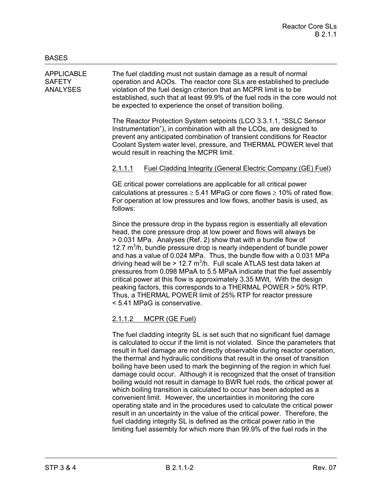APPLICABLE The fuel cladding must not sustain damage as a result of normal SAFETY operation and AOOs. The reactor core SLs are established to preclude ANALYSES violation of the fuel design criterion that an MCPR limit is to be established, such that at least 99.9% of the fuel rods in the core would not be expected to experience the onset of transition boiling.

> The Reactor Protection System setpoints (LCO 3.3.1.1, "SSLC Sensor Instrumentation"), in combination with all the LCOs, are designed to prevent any anticipated combination of transient conditions for Reactor Coolant System water level, pressure, and THERMAL POWER level that would result in reaching the MCPR limit.

# 2.1.1.1 Fuel Cladding Integrity (General Electric Company (GE) Fuel)

GE critical power correlations are applicable for all critical power calculations at pressures  $\geq 5.41$  MPaG or core flows  $\geq 10\%$  of rated flow. For operation at low pressures and low flows, another basis is used, as follows:

Since the pressure drop in the bypass region is essentially all elevation head, the core pressure drop at low power and flows will always be > 0.031 MPa. Analyses (Ref. 2) show that with a bundle flow of 12.7  $m<sup>3</sup>/h$ , bundle pressure drop is nearly independent of bundle power and has a value of 0.024 MPa. Thus, the bundle flow with a 0.031 MPa driving head will be > 12.7  $m^3/h$ . Full scale ATLAS test data taken at pressures from 0.098 MPaA to 5.5 MPaA indicate that the fuel assembly critical power at this flow is approximately 3.35 MWt. With the design peaking factors, this corresponds to a THERMAL POWER > 50% RTP. Thus, a THERMAL POWER limit of 25% RTP for reactor pressure < 5.41 MPaG is conservative.

# 2.1.1.2 MCPR (GE Fuel)

The fuel cladding integrity SL is set such that no significant fuel damage is calculated to occur if the limit is not violated. Since the parameters that result in fuel damage are not directly observable during reactor operation, the thermal and hydraulic conditions that result in the onset of transition boiling have been used to mark the beginning of the region in which fuel damage could occur. Although it is recognized that the onset of transition boiling would not result in damage to BWR fuel rods, the critical power at which boiling transition is calculated to occur has been adopted as a convenient limit. However, the uncertainties in monitoring the core operating state and in the procedures used to calculate the critical power result in an uncertainty in the value of the critical power. Therefore, the fuel cladding integrity SL is defined as the critical power ratio in the limiting fuel assembly for which more than 99.9% of the fuel rods in the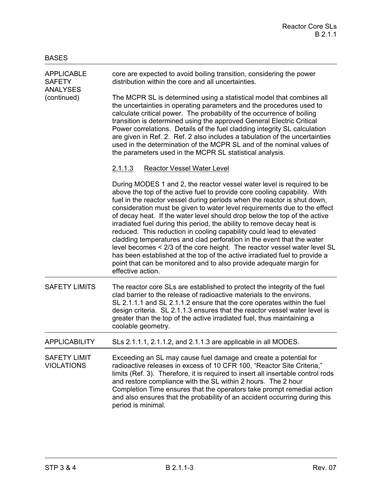| <b>APPLICABLE</b><br><b>SAFETY</b><br><b>ANALYSES</b><br>(continued) | core are expected to avoid boiling transition, considering the power<br>distribution within the core and all uncertainties.                                                                                                                                                                                                                                                                                                                                                                                                                                                                                                                                                                                                                                                                                                                                                   |
|----------------------------------------------------------------------|-------------------------------------------------------------------------------------------------------------------------------------------------------------------------------------------------------------------------------------------------------------------------------------------------------------------------------------------------------------------------------------------------------------------------------------------------------------------------------------------------------------------------------------------------------------------------------------------------------------------------------------------------------------------------------------------------------------------------------------------------------------------------------------------------------------------------------------------------------------------------------|
|                                                                      | The MCPR SL is determined using a statistical model that combines all<br>the uncertainties in operating parameters and the procedures used to<br>calculate critical power. The probability of the occurrence of boiling<br>transition is determined using the approved General Electric Critical<br>Power correlations. Details of the fuel cladding integrity SL calculation<br>are given in Ref. 2. Ref. 2 also includes a tabulation of the uncertainties<br>used in the determination of the MCPR SL and of the nominal values of<br>the parameters used in the MCPR SL statistical analysis.                                                                                                                                                                                                                                                                             |
|                                                                      | <b>Reactor Vessel Water Level</b><br><u>2.1.1.3</u>                                                                                                                                                                                                                                                                                                                                                                                                                                                                                                                                                                                                                                                                                                                                                                                                                           |
|                                                                      | During MODES 1 and 2, the reactor vessel water level is required to be<br>above the top of the active fuel to provide core cooling capability. With<br>fuel in the reactor vessel during periods when the reactor is shut down,<br>consideration must be given to water level requirements due to the effect<br>of decay heat. If the water level should drop below the top of the active<br>irradiated fuel during this period, the ability to remove decay heat is<br>reduced. This reduction in cooling capability could lead to elevated<br>cladding temperatures and clad perforation in the event that the water<br>level becomes < 2/3 of the core height. The reactor vessel water level SL<br>has been established at the top of the active irradiated fuel to provide a<br>point that can be monitored and to also provide adequate margin for<br>effective action. |
| <b>SAFETY LIMITS</b>                                                 | The reactor core SLs are established to protect the integrity of the fuel<br>clad barrier to the release of radioactive materials to the environs.<br>SL 2.1.1.1 and SL 2.1.1.2 ensure that the core operates within the fuel<br>design criteria. SL 2.1.1.3 ensures that the reactor vessel water level is<br>greater than the top of the active irradiated fuel, thus maintaining a<br>coolable geometry.                                                                                                                                                                                                                                                                                                                                                                                                                                                                   |
| <b>APPLICABILITY</b>                                                 | SLs 2.1.1.1, 2.1.1.2, and 2.1.1.3 are applicable in all MODES.                                                                                                                                                                                                                                                                                                                                                                                                                                                                                                                                                                                                                                                                                                                                                                                                                |
| <b>SAFETY LIMIT</b><br><b>VIOLATIONS</b>                             | Exceeding an SL may cause fuel damage and create a potential for<br>radioactive releases in excess of 10 CFR 100, "Reactor Site Criteria,"<br>limits (Ref. 3). Therefore, it is required to insert all insertable control rods<br>and restore compliance with the SL within 2 hours. The 2 hour<br>Completion Time ensures that the operators take prompt remedial action<br>and also ensures that the probability of an accident occurring during this<br>period is minimal.                                                                                                                                                                                                                                                                                                                                                                                                 |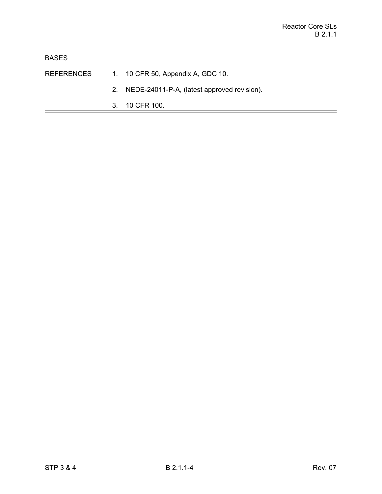- REFERENCES 1. 10 CFR 50, Appendix A, GDC 10.
	- 2. NEDE-24011-P-A, (latest approved revision).
	- 3. 10 CFR 100.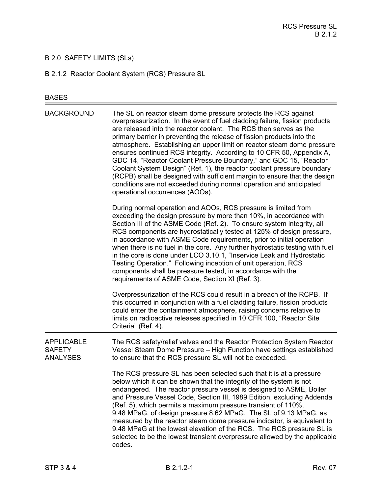# B 2.0 SAFETY LIMITS (SLs)

B 2.1.2 Reactor Coolant System (RCS) Pressure SL

# BASES

| <b>BACKGROUND</b>                                     | The SL on reactor steam dome pressure protects the RCS against<br>overpressurization. In the event of fuel cladding failure, fission products<br>are released into the reactor coolant. The RCS then serves as the<br>primary barrier in preventing the release of fission products into the<br>atmosphere. Establishing an upper limit on reactor steam dome pressure<br>ensures continued RCS integrity. According to 10 CFR 50, Appendix A,<br>GDC 14, "Reactor Coolant Pressure Boundary," and GDC 15, "Reactor<br>Coolant System Design" (Ref. 1), the reactor coolant pressure boundary<br>(RCPB) shall be designed with sufficient margin to ensure that the design<br>conditions are not exceeded during normal operation and anticipated<br>operational occurrences (AOOs). |
|-------------------------------------------------------|--------------------------------------------------------------------------------------------------------------------------------------------------------------------------------------------------------------------------------------------------------------------------------------------------------------------------------------------------------------------------------------------------------------------------------------------------------------------------------------------------------------------------------------------------------------------------------------------------------------------------------------------------------------------------------------------------------------------------------------------------------------------------------------|
|                                                       | During normal operation and AOOs, RCS pressure is limited from<br>exceeding the design pressure by more than 10%, in accordance with<br>Section III of the ASME Code (Ref. 2). To ensure system integrity, all<br>RCS components are hydrostatically tested at 125% of design pressure,<br>in accordance with ASME Code requirements, prior to initial operation<br>when there is no fuel in the core. Any further hydrostatic testing with fuel<br>in the core is done under LCO 3.10.1, "Inservice Leak and Hydrostatic<br>Testing Operation." Following inception of unit operation, RCS<br>components shall be pressure tested, in accordance with the<br>requirements of ASME Code, Section XI (Ref. 3).                                                                        |
|                                                       | Overpressurization of the RCS could result in a breach of the RCPB. If<br>this occurred in conjunction with a fuel cladding failure, fission products<br>could enter the containment atmosphere, raising concerns relative to<br>limits on radioactive releases specified in 10 CFR 100, "Reactor Site<br>Criteria" (Ref. 4).                                                                                                                                                                                                                                                                                                                                                                                                                                                        |
| <b>APPLICABLE</b><br><b>SAFETY</b><br><b>ANALYSES</b> | The RCS safety/relief valves and the Reactor Protection System Reactor<br>Vessel Steam Dome Pressure - High Function have settings established<br>to ensure that the RCS pressure SL will not be exceeded.                                                                                                                                                                                                                                                                                                                                                                                                                                                                                                                                                                           |
|                                                       | The RCS pressure SL has been selected such that it is at a pressure<br>below which it can be shown that the integrity of the system is not<br>endangered. The reactor pressure vessel is designed to ASME, Boiler<br>and Pressure Vessel Code, Section III, 1989 Edition, excluding Addenda<br>(Ref. 5), which permits a maximum pressure transient of 110%,<br>9.48 MPaG, of design pressure 8.62 MPaG. The SL of 9.13 MPaG, as<br>measured by the reactor steam dome pressure indicator, is equivalent to<br>9.48 MPaG at the lowest elevation of the RCS. The RCS pressure SL is<br>selected to be the lowest transient overpressure allowed by the applicable<br>codes.                                                                                                          |